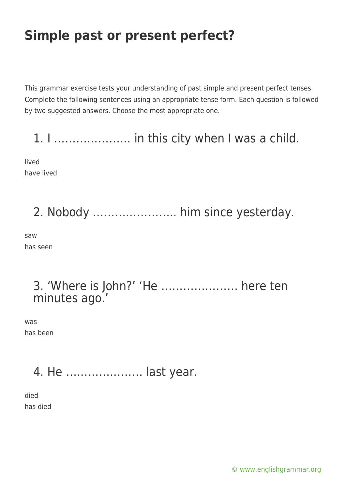This grammar exercise tests your understanding of past simple and present perfect tenses. Complete the following sentences using an appropriate tense form. Each question is followed by two suggested answers. Choose the most appropriate one.

1. I ………………… in this city when I was a child.

lived have lived

# 2. Nobody ………………….. him since yesterday.

saw has seen

### 3. 'Where is John?' 'He ………………… here ten minutes ago.'

was has been

## 4. He ………………… last year.

died has died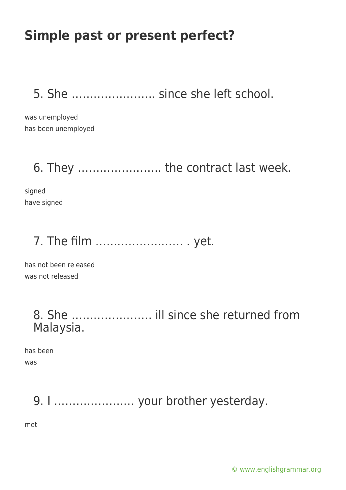5. She ………………….. since she left school.

was unemployed has been unemployed

### 6. They ………………….. the contract last week.

signed have signed

## 7. The film …………………… . yet.

has not been released was not released

#### 8. She …………………. ill since she returned from Malaysia.

has been was

9. I …………………. your brother yesterday.

met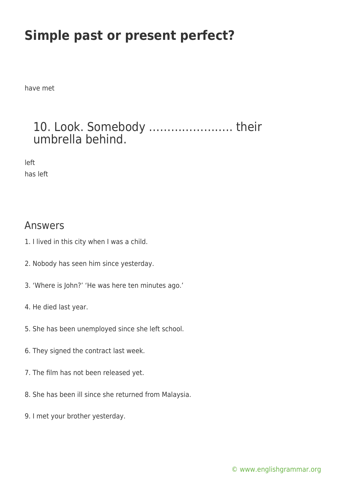have met

### 10. Look. Somebody ………………….. their umbrella behind.

left has left

#### Answers

- 1. I lived in this city when I was a child.
- 2. Nobody has seen him since yesterday.
- 3. 'Where is John?' 'He was here ten minutes ago.'
- 4. He died last year.
- 5. She has been unemployed since she left school.
- 6. They signed the contract last week.
- 7. The film has not been released yet.
- 8. She has been ill since she returned from Malaysia.
- 9. I met your brother yesterday.